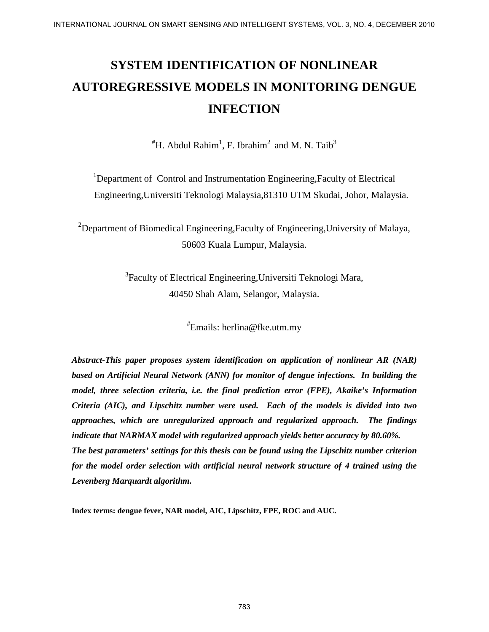# **SYSTEM IDENTIFICATION OF NONLINEAR AUTOREGRESSIVE MODELS IN MONITORING DENGUE INFECTION**

 $H^*$ H. Abdul Rahim<sup>1</sup>, F. Ibrahim<sup>2</sup> and M. N. Taib<sup>3</sup>

<sup>1</sup>Department of Control and Instrumentation Engineering, Faculty of Electrical Engineering,Universiti Teknologi Malaysia,81310 UTM Skudai, Johor, Malaysia.

<sup>2</sup>Department of Biomedical Engineering, Faculty of Engineering, University of Malaya, 50603 Kuala Lumpur, Malaysia.

> <sup>3</sup>Faculty of Electrical Engineering, Universiti Teknologi Mara, 40450 Shah Alam, Selangor, Malaysia.

> > # Emails: herlina@fke.utm.my

*Abstract-This paper proposes system identification on application of nonlinear AR (NAR) based on Artificial Neural Network (ANN) for monitor of dengue infections. In building the model, three selection criteria, i.e. the final prediction error (FPE), Akaike's Information Criteria (AIC), and Lipschitz number were used. Each of the models is divided into two approaches, which are unregularized approach and regularized approach. The findings indicate that NARMAX model with regularized approach yields better accuracy by 80.60%. The best parameters' settings for this thesis can be found using the Lipschitz number criterion for the model order selection with artificial neural network structure of 4 trained using the Levenberg Marquardt algorithm.* REFRONDIONAL JOURNAL TON SENSING PAIR INCREDIBTED SYSTEMS, VOL. 3, NO 4, DECEMBER 2010<br>
SYSTEM IDENTIFICATION OF NONITORING DENGUE<br>
INFECTION<br>
"II. Abshil Rabini", F. Ilyahini" and M. N. Taib<sup>2</sup><br>
"Department of Control and

**Index terms: dengue fever, NAR model, AIC, Lipschitz, FPE, ROC and AUC.**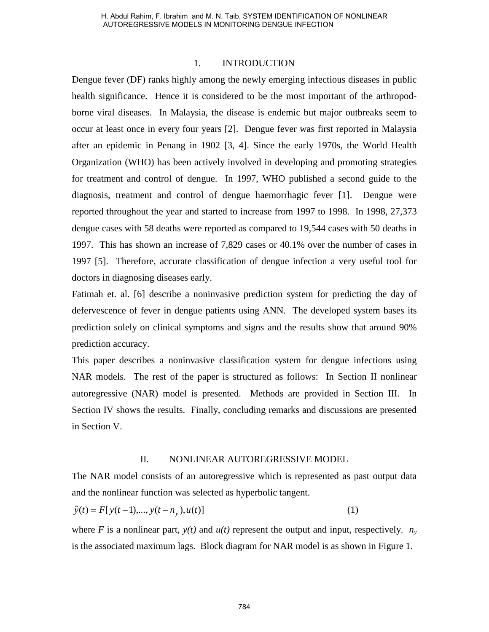#### 1. INTRODUCTION

Dengue fever (DF) ranks highly among the newly emerging infectious diseases in public health significance. Hence it is considered to be the most important of the arthropodborne viral diseases. In Malaysia, the disease is endemic but major outbreaks seem to occur at least once in every four years [2]. Dengue fever was first reported in Malaysia after an epidemic in Penang in 1902 [3, 4]. Since the early 1970s, the World Health Organization (WHO) has been actively involved in developing and promoting strategies for treatment and control of dengue. In 1997, WHO published a second guide to the diagnosis, treatment and control of dengue haemorrhagic fever [1]. Dengue were reported throughout the year and started to increase from 1997 to 1998. In 1998, 27,373 dengue cases with 58 deaths were reported as compared to 19,544 cases with 50 deaths in 1997. This has shown an increase of 7,829 cases or 40.1% over the number of cases in 1997 [5]. Therefore, accurate classification of dengue infection a very useful tool for doctors in diagnosing diseases early. H. Abdul Rahim, E limithm and M. N. Tais, SYSTEM IDENTIFICATION OF NONLINEAR<br>AUTOREGISESIWE MODIES IN MONUTORNO DENOUE THEOTICAL<br>for CONFIGURATION (FOR THEOTIC TON FOR THEOTIC TON FOR THEOTIC TON FOR THE IN SURFACT TON TH

Fatimah et. al. [6] describe a noninvasive prediction system for predicting the day of defervescence of fever in dengue patients using ANN. The developed system bases its prediction solely on clinical symptoms and signs and the results show that around 90% prediction accuracy.

This paper describes a noninvasive classification system for dengue infections using NAR models. The rest of the paper is structured as follows: In Section II nonlinear autoregressive (NAR) model is presented. Methods are provided in Section III. In Section IV shows the results. Finally, concluding remarks and discussions are presented in Section V.

#### II. NONLINEAR AUTOREGRESSIVE MODEL

The NAR model consists of an autoregressive which is represented as past output data and the nonlinear function was selected as hyperbolic tangent.

$$
\hat{y}(t) = F[y(t-1),..., y(t-n_y), u(t)]
$$
\n(1)

where *F* is a nonlinear part,  $y(t)$  and  $u(t)$  represent the output and input, respectively.  $n_y$ is the associated maximum lags. Block diagram for NAR model is as shown in Figure 1.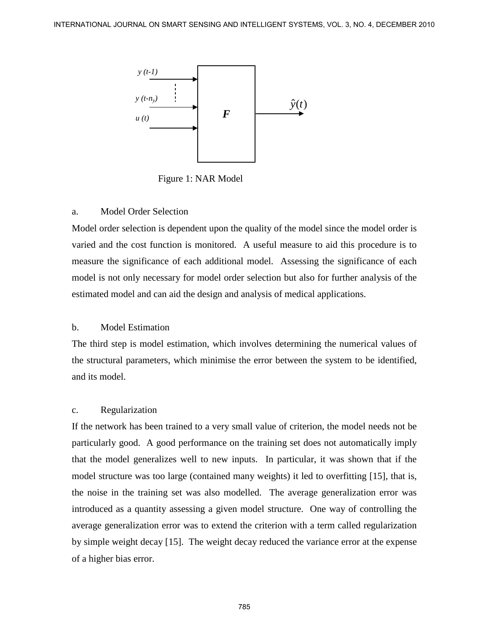

Figure 1: NAR Model

### a. Model Order Selection

Model order selection is dependent upon the quality of the model since the model order is varied and the cost function is monitored. A useful measure to aid this procedure is to measure the significance of each additional model. Assessing the significance of each model is not only necessary for model order selection but also for further analysis of the estimated model and can aid the design and analysis of medical applications.

#### b. Model Estimation

The third step is model estimation, which involves determining the numerical values of the structural parameters, which minimise the error between the system to be identified, and its model.

#### c. Regularization

If the network has been trained to a very small value of criterion, the model needs not be particularly good. A good performance on the training set does not automatically imply that the model generalizes well to new inputs. In particular, it was shown that if the model structure was too large (contained many weights) it led to overfitting [15], that is, the noise in the training set was also modelled. The average generalization error was introduced as a quantity assessing a given model structure. One way of controlling the average generalization error was to extend the criterion with a term called regularization by simple weight decay [15]. The weight decay reduced the variance error at the expense of a higher bias error. **EXIERNATIONAL JOURNAL ON SMART SENSING AND INTELLIGENT SYSTEMS, VOL. 3, NO. 4, DECEMBER 2010<br>**  $\frac{y(t, t)}{t}$ **<br>**  $\frac{y(t, t)}{t}$ **<br>**  $\frac{y(t, t)}{t}$ **<br>**  $\frac{y(t, t)}{t}$ **<br>**  $\frac{y(t, t)}{t}$ **<br>**  $\frac{y(t, t)}{t}$ **<br>**  $\frac{y(t, t)}{t}$ **<br>**  $\frac{y(t, t)}{t}$ **<br> \frac{y(t**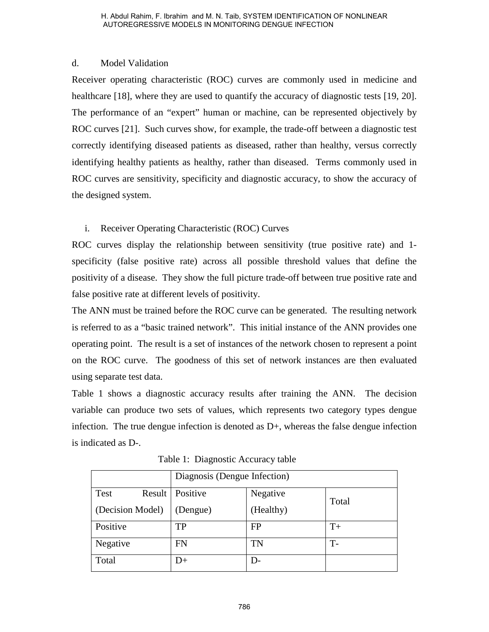### d. Model Validation

Receiver operating characteristic (ROC) curves are commonly used in medicine and healthcare [18], where they are used to quantify the accuracy of diagnostic tests [19, 20]. The performance of an "expert" human or machine, can be represented objectively by ROC curves [21]. Such curves show, for example, the trade-off between a diagnostic test correctly identifying diseased patients as diseased, rather than healthy, versus correctly identifying healthy patients as healthy, rather than diseased. Terms commonly used in ROC curves are sensitivity, specificity and diagnostic accuracy, to show the accuracy of the designed system. H. Abdul Rahim, F. IIsrahim and M. N. Taib, SYSTEM IDENTIFICATION OF NONLINEAR<br>
AUTOREGRESINT MORE IN MONITORING DIPNOTE INTOTION<br>
Moreofor the material (ROC) curves are commonly used in medicine<br>
re persisting characteri

### i. Receiver Operating Characteristic (ROC) Curves

ROC curves display the relationship between sensitivity (true positive rate) and 1 specificity (false positive rate) across all possible threshold values that define the positivity of a disease. They show the full picture trade-off between true positive rate and false positive rate at different levels of positivity.

The ANN must be trained before the ROC curve can be generated. The resulting network is referred to as a "basic trained network". This initial instance of the ANN provides one operating point. The result is a set of instances of the network chosen to represent a point on the ROC curve. The goodness of this set of network instances are then evaluated using separate test data.

Table 1 shows a diagnostic accuracy results after training the ANN. The decision variable can produce two sets of values, which represents two category types dengue infection. The true dengue infection is denoted as  $D<sub>+</sub>$ , whereas the false dengue infection is indicated as D-.

|                  | Diagnosis (Dengue Infection) |           |       |  |  |
|------------------|------------------------------|-----------|-------|--|--|
| Test<br>Result   | Positive                     | Negative  | Total |  |  |
| (Decision Model) | (Dengue)                     | (Healthy) |       |  |  |
| Positive         | TP                           | <b>FP</b> | $T+$  |  |  |
| Negative         | FN                           | TN        | $T -$ |  |  |
| Total            | D+                           | $D-$      |       |  |  |

Table 1: Diagnostic Accuracy table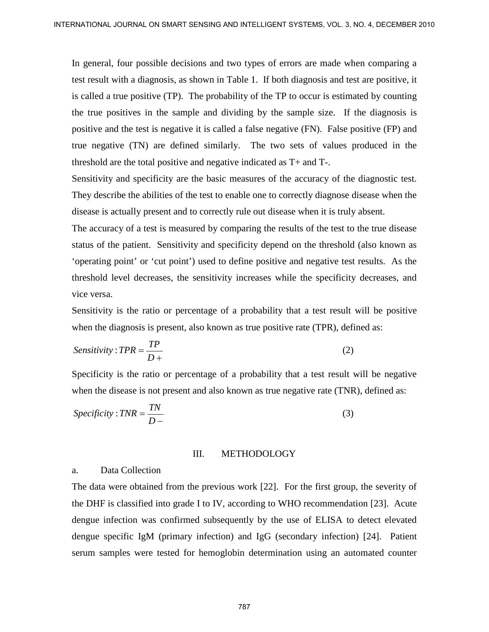In general, four possible decisions and two types of errors are made when comparing a test result with a diagnosis, as shown in Table 1. If both diagnosis and test are positive, it is called a true positive (TP). The probability of the TP to occur is estimated by counting the true positives in the sample and dividing by the sample size. If the diagnosis is positive and the test is negative it is called a false negative (FN). False positive (FP) and true negative (TN) are defined similarly. The two sets of values produced in the threshold are the total positive and negative indicated as T+ and T-. RIERRATIONAL JOURNAL ON SIMART SENSING AND RYFIELD SYSTEMS, VOL. 3, NO 4, DECEMBER 2010<br>
To general, from provide decisions and two types of envots are used when comparing a<br>
text result with a diagnosis, are shown in Tab

Sensitivity and specificity are the basic measures of the accuracy of the diagnostic test. They describe the abilities of the test to enable one to correctly diagnose disease when the disease is actually present and to correctly rule out disease when it is truly absent.

The accuracy of a test is measured by comparing the results of the test to the true disease status of the patient. Sensitivity and specificity depend on the threshold (also known as 'operating point' or 'cut point') used to define positive and negative test results. As the threshold level decreases, the sensitivity increases while the specificity decreases, and vice versa.

Sensitivity is the ratio or percentage of a probability that a test result will be positive when the diagnosis is present, also known as true positive rate (TPR), defined as:

$$
Sensitivity: TPR = \frac{TP}{D+}
$$
 (2)

Specificity is the ratio or percentage of a probability that a test result will be negative when the disease is not present and also known as true negative rate *(TNR)*, defined as:

$$
Specificity: TNR = \frac{TN}{D-}
$$
 (3)

#### III. METHODOLOGY

#### a. Data Collection

The data were obtained from the previous work [22]. For the first group, the severity of the DHF is classified into grade I to IV, according to WHO recommendation [23]. Acute dengue infection was confirmed subsequently by the use of ELISA to detect elevated dengue specific IgM (primary infection) and IgG (secondary infection) [24]. Patient serum samples were tested for hemoglobin determination using an automated counter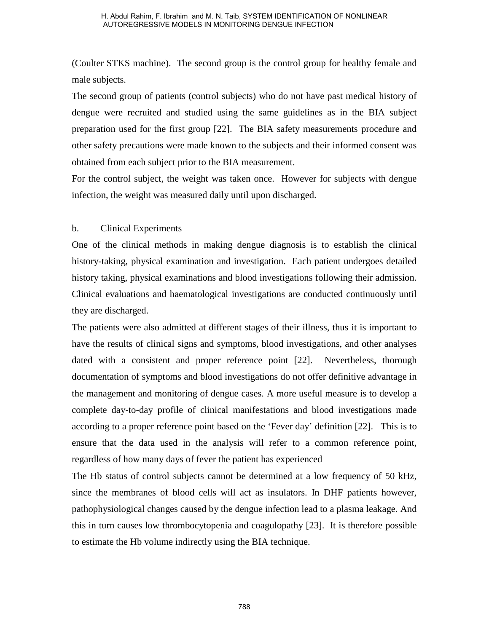(Coulter STKS machine). The second group is the control group for healthy female and male subjects.

The second group of patients (control subjects) who do not have past medical history of dengue were recruited and studied using the same guidelines as in the BIA subject preparation used for the first group [22]. The BIA safety measurements procedure and other safety precautions were made known to the subjects and their informed consent was obtained from each subject prior to the BIA measurement.

For the control subject, the weight was taken once. However for subjects with dengue infection, the weight was measured daily until upon discharged.

#### b. Clinical Experiments

One of the clinical methods in making dengue diagnosis is to establish the clinical history-taking, physical examination and investigation. Each patient undergoes detailed history taking, physical examinations and blood investigations following their admission. Clinical evaluations and haematological investigations are conducted continuously until they are discharged.

The patients were also admitted at different stages of their illness, thus it is important to have the results of clinical signs and symptoms, blood investigations, and other analyses dated with a consistent and proper reference point [22]. Nevertheless, thorough documentation of symptoms and blood investigations do not offer definitive advantage in the management and monitoring of dengue cases. A more useful measure is to develop a complete day-to-day profile of clinical manifestations and blood investigations made according to a proper reference point based on the 'Fever day' definition [22]. This is to ensure that the data used in the analysis will refer to a common reference point, regardless of how many days of fever the patient has experienced H. Abdul Rahim, E limitalm and M. N. Taib, SYSTEM IDENTIFICATION OF NONLINEAR<br>AUTOREGRESINY MODELS IN MONITORING DIPINDENTIFICATION OF NONLINEAR<br>FORD STANS THEON THE SECOND HOT UP IS THE SECOND TO THE SURFACT TO THE SURFAC

The Hb status of control subjects cannot be determined at a low frequency of 50 kHz, since the membranes of blood cells will act as insulators. In DHF patients however, pathophysiological changes caused by the dengue infection lead to a plasma leakage. And this in turn causes low thrombocytopenia and coagulopathy [23]. It is therefore possible to estimate the Hb volume indirectly using the BIA technique.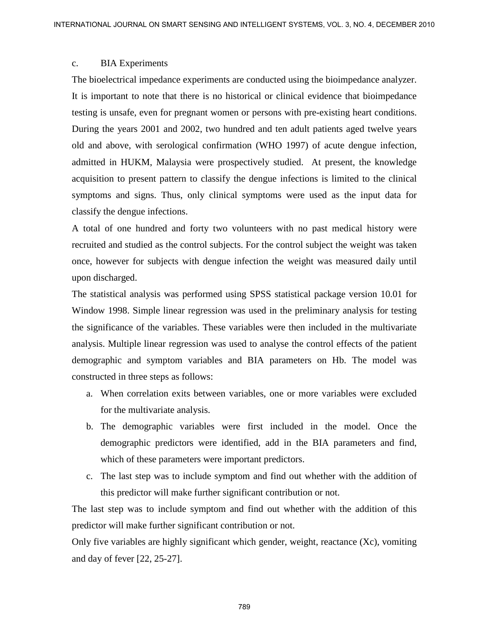#### c. BIA Experiments

The bioelectrical impedance experiments are conducted using the bioimpedance analyzer. It is important to note that there is no historical or clinical evidence that bioimpedance testing is unsafe, even for pregnant women or persons with pre-existing heart conditions. During the years 2001 and 2002, two hundred and ten adult patients aged twelve years old and above, with serological confirmation (WHO 1997) of acute dengue infection, admitted in HUKM, Malaysia were prospectively studied. At present, the knowledge acquisition to present pattern to classify the dengue infections is limited to the clinical symptoms and signs. Thus, only clinical symptoms were used as the input data for classify the dengue infections. RYIERNATIONAL JOLENSAL ON SIMART SENSING AND BYFIRE ART (SCL. 3, NO 4, DECEMBER 2010)<br>
C. BIA Propertiments and concerned and product of the biompediator analyzer.<br>
The biomolectrical importance experiments are conducted

A total of one hundred and forty two volunteers with no past medical history were recruited and studied as the control subjects. For the control subject the weight was taken once, however for subjects with dengue infection the weight was measured daily until upon discharged.

The statistical analysis was performed using SPSS statistical package version 10.01 for Window 1998. Simple linear regression was used in the preliminary analysis for testing the significance of the variables. These variables were then included in the multivariate analysis. Multiple linear regression was used to analyse the control effects of the patient demographic and symptom variables and BIA parameters on Hb. The model was constructed in three steps as follows:

- a. When correlation exits between variables, one or more variables were excluded for the multivariate analysis.
- b. The demographic variables were first included in the model. Once the demographic predictors were identified, add in the BIA parameters and find, which of these parameters were important predictors.
- c. The last step was to include symptom and find out whether with the addition of this predictor will make further significant contribution or not.

The last step was to include symptom and find out whether with the addition of this predictor will make further significant contribution or not.

Only five variables are highly significant which gender, weight, reactance (Xc), vomiting and day of fever [22, 25-27].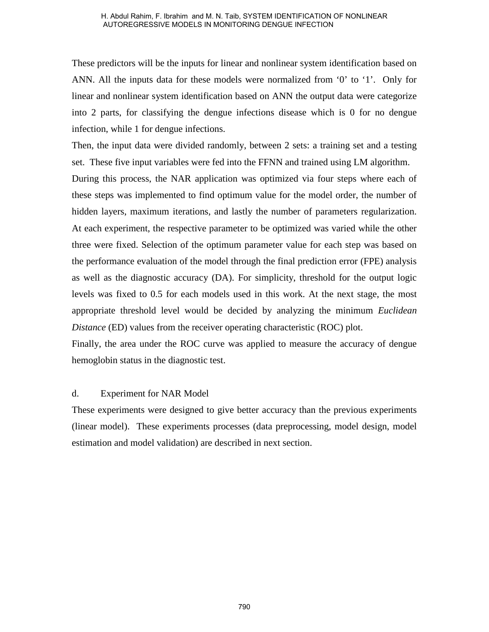These predictors will be the inputs for linear and nonlinear system identification based on ANN. All the inputs data for these models were normalized from '0' to '1'. Only for linear and nonlinear system identification based on ANN the output data were categorize into 2 parts, for classifying the dengue infections disease which is 0 for no dengue infection, while 1 for dengue infections.

Then, the input data were divided randomly, between 2 sets: a training set and a testing set. These five input variables were fed into the FFNN and trained using LM algorithm. During this process, the NAR application was optimized via four steps where each of these steps was implemented to find optimum value for the model order, the number of hidden layers, maximum iterations, and lastly the number of parameters regularization. At each experiment, the respective parameter to be optimized was varied while the other three were fixed. Selection of the optimum parameter value for each step was based on the performance evaluation of the model through the final prediction error (FPE) analysis as well as the diagnostic accuracy (DA). For simplicity, threshold for the output logic levels was fixed to 0.5 for each models used in this work. At the next stage, the most appropriate threshold level would be decided by analyzing the minimum *Euclidean Distance* (ED) values from the receiver operating characteristic (ROC) plot. A Abdul Rahim, F. Ibrahim and M. N. Taib, SYSTEM IDENTIFICATION OF NONLINEAR<br>AUTOREGRESIANT MORE IN MONITORNS DETAINED CONTINUES THE TRANSIST MATHEN THAT AND MATHEN THAT THAT AND MATHEN THAT THAT AND HERE THAT AND MULTIMAT

Finally, the area under the ROC curve was applied to measure the accuracy of dengue hemoglobin status in the diagnostic test.

#### d. Experiment for NAR Model

These experiments were designed to give better accuracy than the previous experiments (linear model). These experiments processes (data preprocessing, model design, model estimation and model validation) are described in next section.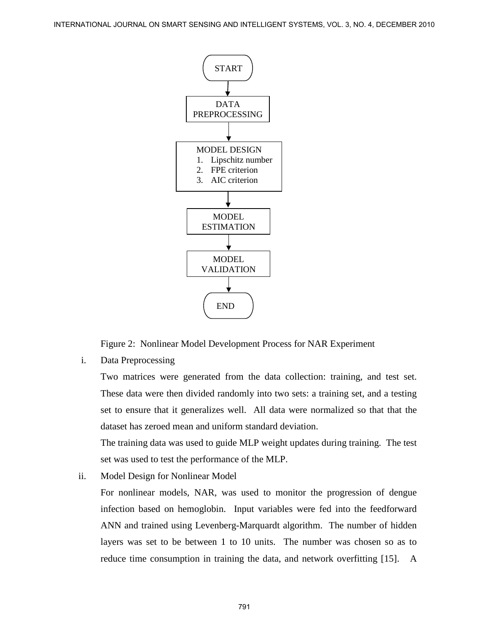

Figure 2: Nonlinear Model Development Process for NAR Experiment

i. Data Preprocessing

Two matrices were generated from the data collection: training, and test set. These data were then divided randomly into two sets: a training set, and a testing set to ensure that it generalizes well. All data were normalized so that that the dataset has zeroed mean and uniform standard deviation.

The training data was used to guide MLP weight updates during training. The test set was used to test the performance of the MLP.

ii. Model Design for Nonlinear Model

For nonlinear models, NAR, was used to monitor the progression of dengue infection based on hemoglobin. Input variables were fed into the feedforward ANN and trained using Levenberg-Marquardt algorithm. The number of hidden layers was set to be between 1 to 10 units. The number was chosen so as to reduce time consumption in training the data, and network overfitting [15]. A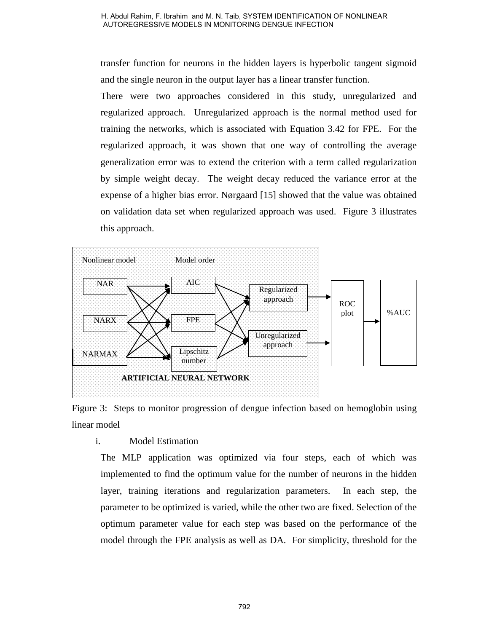transfer function for neurons in the hidden layers is hyperbolic tangent sigmoid and the single neuron in the output layer has a linear transfer function.

There were two approaches considered in this study, unregularized and regularized approach. Unregularized approach is the normal method used for training the networks, which is associated with Equation 3.42 for FPE. For the regularized approach, it was shown that one way of controlling the average generalization error was to extend the criterion with a term called regularization by simple weight decay. The weight decay reduced the variance error at the expense of a higher bias error. Nørgaard [15] showed that the value was obtained on validation data set when regularized approach was used. Figure 3 illustrates this approach.



Figure 3: Steps to monitor progression of dengue infection based on hemoglobin using linear model

### i. Model Estimation

The MLP application was optimized via four steps, each of which was implemented to find the optimum value for the number of neurons in the hidden layer, training iterations and regularization parameters. In each step, the parameter to be optimized is varied, while the other two are fixed. Selection of the optimum parameter value for each step was based on the performance of the model through the FPE analysis as well as DA. For simplicity, threshold for the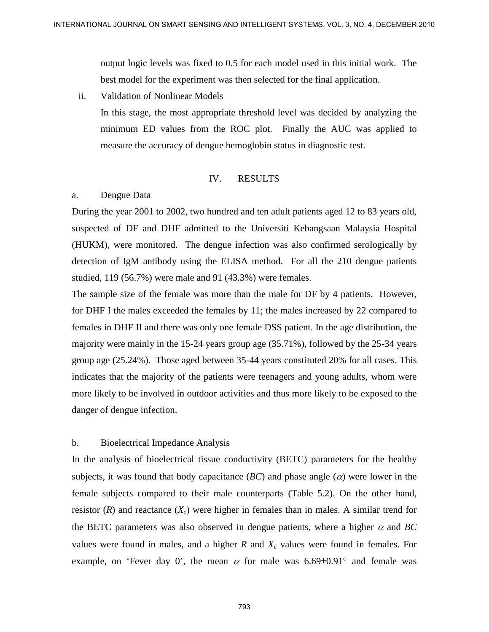output logic levels was fixed to 0.5 for each model used in this initial work. The best model for the experiment was then selected for the final application.

ii. Validation of Nonlinear Models

In this stage, the most appropriate threshold level was decided by analyzing the minimum ED values from the ROC plot. Finally the AUC was applied to measure the accuracy of dengue hemoglobin status in diagnostic test.

#### IV. RESULTS

#### a. Dengue Data

During the year 2001 to 2002, two hundred and ten adult patients aged 12 to 83 years old, suspected of DF and DHF admitted to the Universiti Kebangsaan Malaysia Hospital (HUKM), were monitored. The dengue infection was also confirmed serologically by detection of IgM antibody using the ELISA method. For all the 210 dengue patients studied, 119 (56.7%) were male and 91 (43.3%) were females.

The sample size of the female was more than the male for DF by 4 patients. However, for DHF I the males exceeded the females by 11; the males increased by 22 compared to females in DHF II and there was only one female DSS patient. In the age distribution, the majority were mainly in the 15-24 years group age (35.71%), followed by the 25-34 years group age (25.24%). Those aged between 35-44 years constituted 20% for all cases. This indicates that the majority of the patients were teenagers and young adults, whom were more likely to be involved in outdoor activities and thus more likely to be exposed to the danger of dengue infection. **EXTERNATIONAL JOURNAL ON SIMART SENSING AND INTERNATIONAL SCREAMES ATTO<br>
Total the rest model of Northern Models was fixed in this formation in the finitial work. The<br>
best model for the experiment was then selected for** 

#### b. Bioelectrical Impedance Analysis

In the analysis of bioelectrical tissue conductivity (BETC) parameters for the healthy subjects, it was found that body capacitance  $(BC)$  and phase angle  $(\alpha)$  were lower in the female subjects compared to their male counterparts (Table 5.2). On the other hand, resistor  $(R)$  and reactance  $(X_c)$  were higher in females than in males. A similar trend for the BETC parameters was also observed in dengue patients, where a higher  $\alpha$  and *BC* values were found in males, and a higher  $R$  and  $X_c$  values were found in females. For example, on 'Fever day 0', the mean  $\alpha$  for male was 6.69±0.91° and female was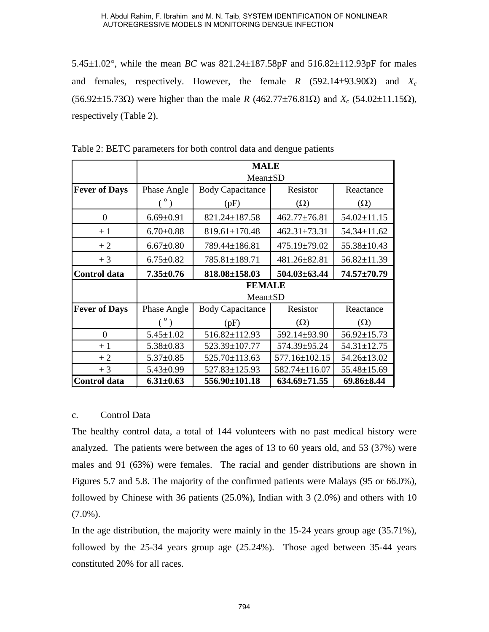5.45±1.02°, while the mean *BC* was 821.24±187.58pF and 516.82±112.93pF for males and females, respectively. However, the female *R* (592.14±93.90Ω) and *Xc* (56.92±15.73Ω) were higher than the male *R* (462.77±76.81Ω) and *Xc* (54.02±11.15Ω), respectively (Table 2).

|                                |                                   | H. Abdul Rahim, F. Ibrahim and M. N. Taib, SYSTEM IDENTIFICATION OF NONLINEAR<br>AUTOREGRESSIVE MODELS IN MONITORING DENGUE INFECTION                                                                                                                                                                                                                                                                                          |                            |                                 |
|--------------------------------|-----------------------------------|--------------------------------------------------------------------------------------------------------------------------------------------------------------------------------------------------------------------------------------------------------------------------------------------------------------------------------------------------------------------------------------------------------------------------------|----------------------------|---------------------------------|
|                                |                                   | 5.45 $\pm$ 1.02°, while the mean BC was 821.24 $\pm$ 187.58pF and 516.82 $\pm$ 112.93pF for 1                                                                                                                                                                                                                                                                                                                                  |                            |                                 |
|                                |                                   |                                                                                                                                                                                                                                                                                                                                                                                                                                |                            |                                 |
| and                            |                                   | females, respectively. However, the female $R$ (592.14±93.90 $\Omega$ )                                                                                                                                                                                                                                                                                                                                                        |                            | and                             |
|                                |                                   | $(56.92\pm 15.73\Omega)$ were higher than the male R (462.77±76.81 $\Omega$ ) and $X_c$ (54.02±11.                                                                                                                                                                                                                                                                                                                             |                            |                                 |
| respectively (Table 2).        |                                   |                                                                                                                                                                                                                                                                                                                                                                                                                                |                            |                                 |
|                                |                                   |                                                                                                                                                                                                                                                                                                                                                                                                                                |                            |                                 |
|                                |                                   | Table 2: BETC parameters for both control data and dengue patients                                                                                                                                                                                                                                                                                                                                                             |                            |                                 |
|                                |                                   | <b>MALE</b>                                                                                                                                                                                                                                                                                                                                                                                                                    |                            |                                 |
|                                |                                   | Mean±SD                                                                                                                                                                                                                                                                                                                                                                                                                        |                            |                                 |
| <b>Fever of Days</b>           | Phase Angle                       | <b>Body Capacitance</b>                                                                                                                                                                                                                                                                                                                                                                                                        | Resistor                   | Reactance                       |
|                                | $\binom{0}{0}$                    | (pF)                                                                                                                                                                                                                                                                                                                                                                                                                           | $(\Omega)$                 | $(\Omega)$                      |
| $\boldsymbol{0}$               | $6.69 \pm 0.91$                   | 821.24±187.58                                                                                                                                                                                                                                                                                                                                                                                                                  | 462.77±76.81               | $54.02 \pm 11.15$               |
| $+1$                           | $6.70 \pm 0.88$                   | $819.61 \pm 170.48$                                                                                                                                                                                                                                                                                                                                                                                                            | $462.31 \pm 73.31$         | 54.34±11.62                     |
| $+2$                           | $6.67 \pm 0.80$                   | 789.44±186.81                                                                                                                                                                                                                                                                                                                                                                                                                  | 475.19±79.02               | 55.38±10.43                     |
| $+3$                           | $6.75 \pm 0.82$                   | 785.81±189.71                                                                                                                                                                                                                                                                                                                                                                                                                  | 481.26±82.81               | $56.82 \pm 11.39$               |
| Control data                   | $7.35 \pm 0.76$                   | 818.08±158.03                                                                                                                                                                                                                                                                                                                                                                                                                  | $504.03 \pm 63.44$         | $74.57 \pm 70.79$               |
|                                |                                   | <b>FEMALE</b>                                                                                                                                                                                                                                                                                                                                                                                                                  |                            |                                 |
|                                |                                   | Mean±SD                                                                                                                                                                                                                                                                                                                                                                                                                        |                            |                                 |
| <b>Fever of Days</b>           | Phase Angle                       | <b>Body Capacitance</b>                                                                                                                                                                                                                                                                                                                                                                                                        | Resistor                   | Reactance                       |
| $\boldsymbol{0}$               | $\binom{0}{0}$<br>$5.45 \pm 1.02$ | (pF)<br>516.82±112.93                                                                                                                                                                                                                                                                                                                                                                                                          | $(\Omega)$<br>592.14±93.90 | $(\Omega)$<br>$56.92 \pm 15.73$ |
| $+1$                           | $5.38 \pm 0.83$                   | 523.39±107.77                                                                                                                                                                                                                                                                                                                                                                                                                  | 574.39±95.24               | $54.31 \pm 12.75$               |
| $+2$                           | $5.37 \pm 0.85$                   | 525.70±113.63                                                                                                                                                                                                                                                                                                                                                                                                                  | 577.16±102.15              | 54.26±13.02                     |
| $+3$                           | $5.43 \pm 0.99$                   | 527.83±125.93                                                                                                                                                                                                                                                                                                                                                                                                                  | 582.74±116.07              | 55.48±15.69                     |
| <b>Control data</b>            | $6.31 \pm 0.63$                   | 556.90±101.18                                                                                                                                                                                                                                                                                                                                                                                                                  | $634.69 \pm 71.55$         | $69.86 \pm 8.44$                |
| Control Data<br>c.             |                                   | The healthy control data, a total of 144 volunteers with no past medical history<br>analyzed. The patients were between the ages of 13 to 60 years old, and 53 (37%)<br>males and 91 (63%) were females. The racial and gender distributions are show<br>Figures 5.7 and 5.8. The majority of the confirmed patients were Malays (95 or 66<br>followed by Chinese with 36 patients (25.0%), Indian with 3 (2.0%) and others wi |                            |                                 |
| $(7.0\%)$ .                    |                                   |                                                                                                                                                                                                                                                                                                                                                                                                                                |                            |                                 |
|                                |                                   | In the age distribution, the majority were mainly in the $15-24$ years group age $(35.7)$                                                                                                                                                                                                                                                                                                                                      |                            |                                 |
|                                |                                   | followed by the $25-34$ years group age $(25.24\%)$ . Those aged between 35-44                                                                                                                                                                                                                                                                                                                                                 |                            |                                 |
| constituted 20% for all races. |                                   |                                                                                                                                                                                                                                                                                                                                                                                                                                |                            |                                 |
|                                |                                   |                                                                                                                                                                                                                                                                                                                                                                                                                                |                            |                                 |
|                                |                                   | 794                                                                                                                                                                                                                                                                                                                                                                                                                            |                            |                                 |

Table 2: BETC parameters for both control data and dengue patients

#### c. Control Data

The healthy control data, a total of 144 volunteers with no past medical history were analyzed. The patients were between the ages of 13 to 60 years old, and 53 (37%) were males and 91 (63%) were females. The racial and gender distributions are shown in Figures 5.7 and 5.8. The majority of the confirmed patients were Malays (95 or 66.0%), followed by Chinese with 36 patients (25.0%), Indian with 3 (2.0%) and others with 10  $(7.0\%)$ .

In the age distribution, the majority were mainly in the 15-24 years group age (35.71%), followed by the 25-34 years group age (25.24%). Those aged between 35-44 years constituted 20% for all races.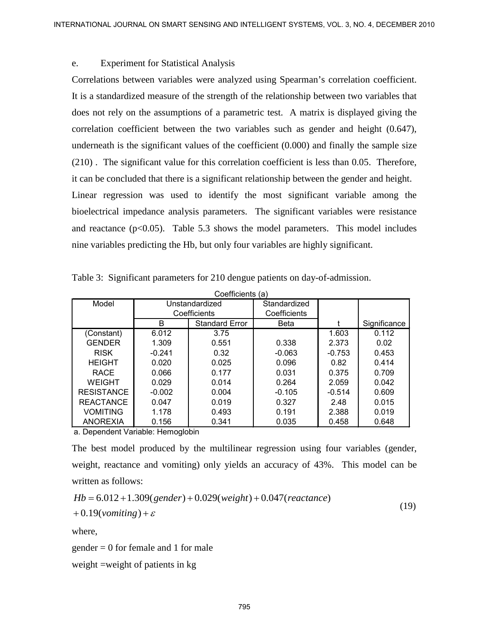#### e. Experiment for Statistical Analysis

Correlations between variables were analyzed using Spearman's correlation coefficient. It is a standardized measure of the strength of the relationship between two variables that does not rely on the assumptions of a parametric test. A matrix is displayed giving the correlation coefficient between the two variables such as gender and height (0.647), underneath is the significant values of the coefficient (0.000) and finally the sample size (210) . The significant value for this correlation coefficient is less than 0.05. Therefore, it can be concluded that there is a significant relationship between the gender and height. Linear regression was used to identify the most significant variable among the bioelectrical impedance analysis parameters. The significant variables were resistance and reactance  $(p<0.05)$ . Table 5.3 shows the model parameters. This model includes nine variables predicting the Hb, but only four variables are highly significant. RYIERANTONAL JOURNAL ON SMART SENSING AND SMART SENSING AND SMART SENSING AND STRAIN CONTENUES CONTENUES CONTENUES CONTENUES (SCELE THE STRAIN of the second of the sensing of the sensing of the sensing of the sensing spec

|                   |                | Coefficients (a)      |              |          |              |
|-------------------|----------------|-----------------------|--------------|----------|--------------|
| Model             | Unstandardized |                       | Standardized |          |              |
|                   |                | Coefficients          | Coefficients |          |              |
|                   | B              | <b>Standard Error</b> | <b>Beta</b>  |          | Significance |
| (Constant)        | 6.012          | 3.75                  |              | 1.603    | 0.112        |
| <b>GENDER</b>     | 1.309          | 0.551                 | 0.338        | 2.373    | 0.02         |
| <b>RISK</b>       | $-0.241$       | 0.32                  | $-0.063$     | $-0.753$ | 0.453        |
| <b>HEIGHT</b>     | 0.020          | 0.025                 | 0.096        | 0.82     | 0.414        |
| <b>RACE</b>       | 0.066          | 0.177                 | 0.031        | 0.375    | 0.709        |
| <b>WEIGHT</b>     | 0.029          | 0.014                 | 0.264        | 2.059    | 0.042        |
| <b>RESISTANCE</b> | $-0.002$       | 0.004                 | $-0.105$     | $-0.514$ | 0.609        |
| <b>REACTANCE</b>  | 0.047          | 0.019                 | 0.327        | 2.48     | 0.015        |
| <b>VOMITING</b>   | 1.178          | 0.493                 | 0.191        | 2.388    | 0.019        |
| <b>ANOREXIA</b>   | 0.156          | 0.341                 | 0.035        | 0.458    | 0.648        |

Table 3: Significant parameters for 210 dengue patients on day-of-admission.

a. Dependent Variable: Hemoglobin

The best model produced by the multilinear regression using four variables (gender, weight, reactance and vomiting) only yields an accuracy of 43%. This model can be written as follows:

$$
Hb = 6.012 + 1.309(gender) + 0.029(weight) + 0.047(reactance)
$$
\n(19)

$$
+0.19(vomiting)+\varepsilon
$$

where,

gender = 0 for female and 1 for male

weight =weight of patients in kg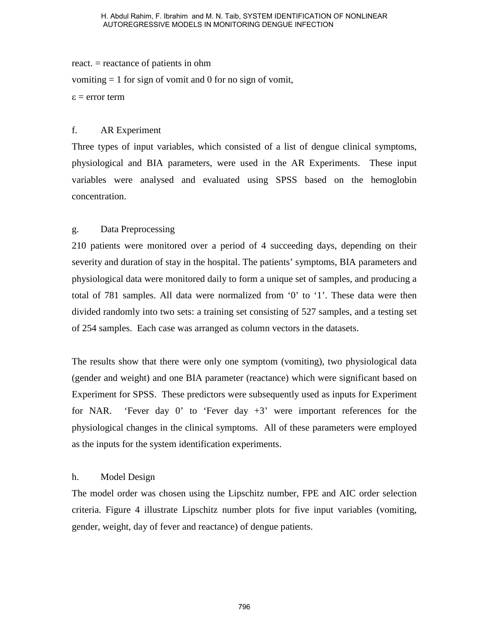react. = reactance of patients in ohm

vomiting  $= 1$  for sign of vomit and 0 for no sign of vomit,

 $\epsilon$  = error term

#### f. AR Experiment

Three types of input variables, which consisted of a list of dengue clinical symptoms, physiological and BIA parameters, were used in the AR Experiments. These input variables were analysed and evaluated using SPSS based on the hemoglobin concentration.

### g. Data Preprocessing

210 patients were monitored over a period of 4 succeeding days, depending on their severity and duration of stay in the hospital. The patients' symptoms, BIA parameters and physiological data were monitored daily to form a unique set of samples, and producing a total of 781 samples. All data were normalized from '0' to '1'. These data were then divided randomly into two sets: a training set consisting of 527 samples, and a testing set of 254 samples. Each case was arranged as column vectors in the datasets. H. Abdul Rahim, E limitalm and M. N. Taib, SYSTEM IDENTIFICATION OF NONLINEAR<br>AUTOREGRESIANT MODELS IN MONITORING DIPNOTE INTOTION<br>THE TREVENTIFICANT TREVENTIFICANT TREVENTIFICANT TREVENTIFICANT TREVENTIFICANT TREVENTIFICA

The results show that there were only one symptom (vomiting), two physiological data (gender and weight) and one BIA parameter (reactance) which were significant based on Experiment for SPSS. These predictors were subsequently used as inputs for Experiment for NAR. 'Fever day 0' to 'Fever day  $+3$ ' were important references for the physiological changes in the clinical symptoms. All of these parameters were employed as the inputs for the system identification experiments.

#### h. Model Design

The model order was chosen using the Lipschitz number, FPE and AIC order selection criteria. Figure 4 illustrate Lipschitz number plots for five input variables (vomiting, gender, weight, day of fever and reactance) of dengue patients.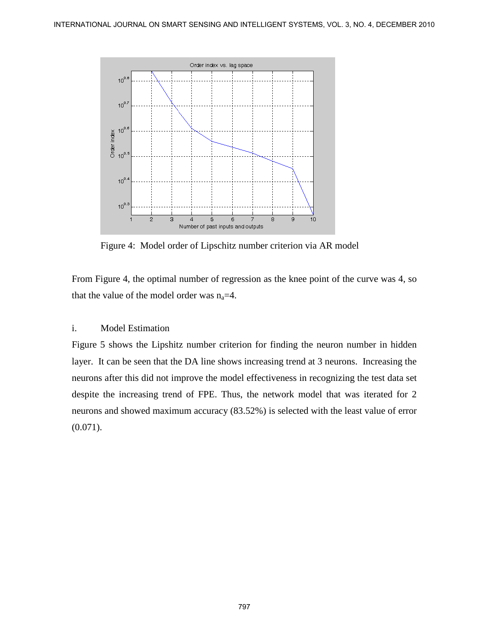

Figure 4: Model order of Lipschitz number criterion via AR model

From Figure 4, the optimal number of regression as the knee point of the curve was 4, so that the value of the model order was  $n_a=4$ .

#### i. Model Estimation

Figure 5 shows the Lipshitz number criterion for finding the neuron number in hidden layer. It can be seen that the DA line shows increasing trend at 3 neurons. Increasing the neurons after this did not improve the model effectiveness in recognizing the test data set despite the increasing trend of FPE. Thus, the network model that was iterated for 2 neurons and showed maximum accuracy (83.52%) is selected with the least value of error  $(0.071)$ .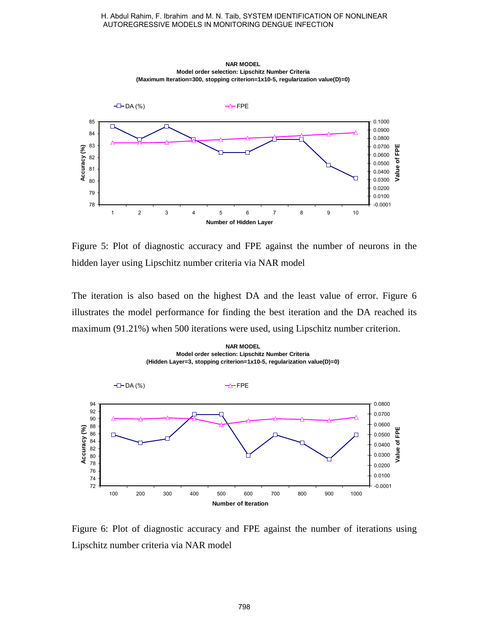

Figure 5: Plot of diagnostic accuracy and FPE against the number of neurons in the hidden layer using Lipschitz number criteria via NAR model

The iteration is also based on the highest DA and the least value of error. Figure 6 illustrates the model performance for finding the best iteration and the DA reached its maximum (91.21%) when 500 iterations were used, using Lipschitz number criterion.



Figure 6: Plot of diagnostic accuracy and FPE against the number of iterations using Lipschitz number criteria via NAR model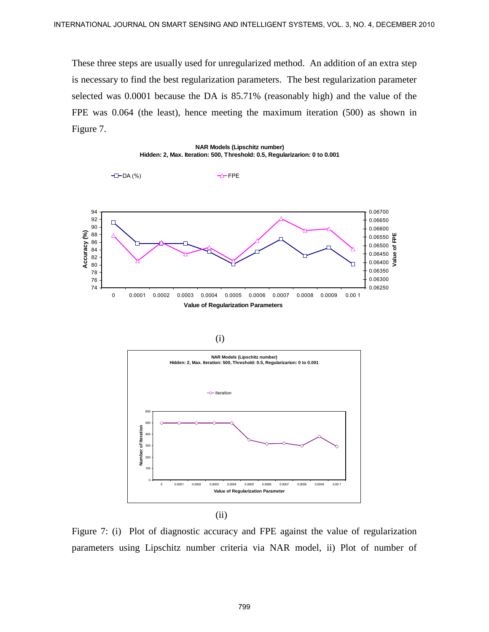These three steps are usually used for unregularized method. An addition of an extra step is necessary to find the best regularization parameters. The best regularization parameter selected was 0.0001 because the DA is 85.71% (reasonably high) and the value of the FPE was 0.064 (the least), hence meeting the maximum iteration (500) as shown in Figure 7.









Figure 7: (i) Plot of diagnostic accuracy and FPE against the value of regularization parameters using Lipschitz number criteria via NAR model, ii) Plot of number of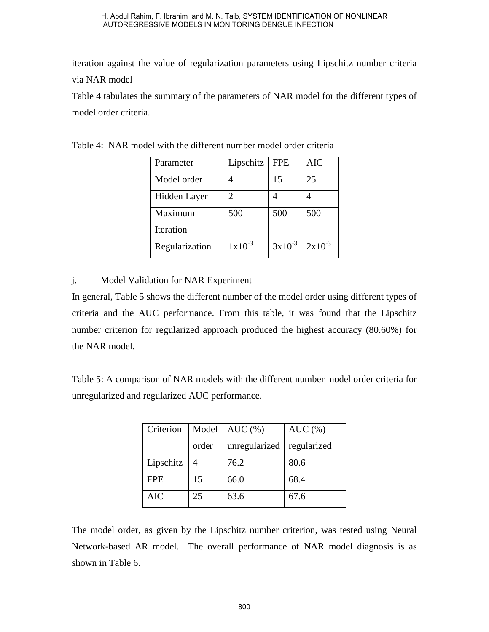iteration against the value of regularization parameters using Lipschitz number criteria via NAR model

Table 4 tabulates the summary of the parameters of NAR model for the different types of model order criteria.

|                 |                                         |                | AUTOREGRESSIVE MODELS IN MONITORING DENGUE INFECTION       |                |                | H. Abdul Rahim, F. Ibrahim  and M. N. Taib, SYSTEM IDENTIFICATION OF NONLINEAR                                                                                                                                                                                                                            |
|-----------------|-----------------------------------------|----------------|------------------------------------------------------------|----------------|----------------|-----------------------------------------------------------------------------------------------------------------------------------------------------------------------------------------------------------------------------------------------------------------------------------------------------------|
|                 |                                         |                |                                                            |                |                | a against the value of regularization parameters using Lipschitz number                                                                                                                                                                                                                                   |
| R model         |                                         |                |                                                            |                |                |                                                                                                                                                                                                                                                                                                           |
|                 |                                         |                |                                                            |                |                | tabulates the summary of the parameters of NAR model for the different t                                                                                                                                                                                                                                  |
| order criteria. |                                         |                |                                                            |                |                |                                                                                                                                                                                                                                                                                                           |
|                 |                                         |                |                                                            |                |                |                                                                                                                                                                                                                                                                                                           |
|                 |                                         |                | : NAR model with the different number model order criteria |                |                |                                                                                                                                                                                                                                                                                                           |
|                 | Parameter                               |                | Lipschitz                                                  | <b>FPE</b>     | AIC            |                                                                                                                                                                                                                                                                                                           |
|                 | Model order                             |                | 4                                                          | 15             | 25             |                                                                                                                                                                                                                                                                                                           |
|                 | Hidden Layer                            |                | 2                                                          | $\overline{4}$ | $\overline{4}$ |                                                                                                                                                                                                                                                                                                           |
|                 | Maximum                                 |                | 500                                                        | 500            | 500            |                                                                                                                                                                                                                                                                                                           |
|                 | Iteration                               |                |                                                            |                |                |                                                                                                                                                                                                                                                                                                           |
|                 | Regularization                          |                | $1x10^{-3}$                                                | $3x10^{-3}$    | $2x10^{-3}$    |                                                                                                                                                                                                                                                                                                           |
|                 |                                         |                |                                                            |                |                |                                                                                                                                                                                                                                                                                                           |
| R model.        | arized and regularized AUC performance. |                |                                                            |                |                | ral, Table 5 shows the different number of the model order using different t<br>and the AUC performance. From this table, it was found that the Li<br>criterion for regularized approach produced the highest accuracy (80.60)<br>: A comparison of NAR models with the different number model order crit |
|                 | Criterion                               | Model          | AUC(%)                                                     |                | AUC $(\%)$     |                                                                                                                                                                                                                                                                                                           |
|                 |                                         | order          | unregularized                                              |                | regularized    |                                                                                                                                                                                                                                                                                                           |
|                 | Lipschitz                               | $\overline{4}$ | 76.2                                                       | 80.6           |                |                                                                                                                                                                                                                                                                                                           |
|                 | <b>FPE</b>                              | 15             | 66.0                                                       | 68.4           |                |                                                                                                                                                                                                                                                                                                           |
|                 | <b>AIC</b>                              | 25             | 63.6                                                       | 67.6           |                |                                                                                                                                                                                                                                                                                                           |
| n Table 6.      |                                         |                |                                                            |                |                | odel order, as given by the Lipschitz number criterion, was tested using<br>k-based AR model. The overall performance of NAR model diagnosi                                                                                                                                                               |
|                 |                                         |                | 800                                                        |                |                |                                                                                                                                                                                                                                                                                                           |

Table 4: NAR model with the different number model order criteria

### j. Model Validation for NAR Experiment

In general, Table 5 shows the different number of the model order using different types of criteria and the AUC performance. From this table, it was found that the Lipschitz number criterion for regularized approach produced the highest accuracy (80.60%) for the NAR model.

Table 5: A comparison of NAR models with the different number model order criteria for unregularized and regularized AUC performance.

| Criterion  | Model | AUC(%)        | $AUC$ $%$   |
|------------|-------|---------------|-------------|
|            | order | unregularized | regularized |
| Lipschitz  | 4     | 76.2          | 80.6        |
| <b>FPE</b> | 15    | 66.0          | 68.4        |
| AIC        | 25    | 63.6          | 67.6        |

The model order, as given by the Lipschitz number criterion, was tested using Neural Network-based AR model. The overall performance of NAR model diagnosis is as shown in Table 6.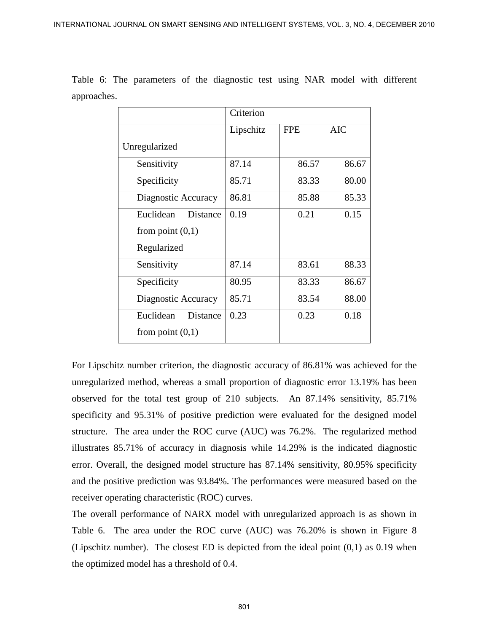| approaches. |                                                                                                                                                                                                                                                                                                                                                                                                                                                                                                                                                                                                                                                                                                                                                                                                                                                                                                                                                                                                                                          | Criterion |            |            |  |
|-------------|------------------------------------------------------------------------------------------------------------------------------------------------------------------------------------------------------------------------------------------------------------------------------------------------------------------------------------------------------------------------------------------------------------------------------------------------------------------------------------------------------------------------------------------------------------------------------------------------------------------------------------------------------------------------------------------------------------------------------------------------------------------------------------------------------------------------------------------------------------------------------------------------------------------------------------------------------------------------------------------------------------------------------------------|-----------|------------|------------|--|
|             |                                                                                                                                                                                                                                                                                                                                                                                                                                                                                                                                                                                                                                                                                                                                                                                                                                                                                                                                                                                                                                          | Lipschitz | <b>FPE</b> | <b>AIC</b> |  |
|             | Unregularized                                                                                                                                                                                                                                                                                                                                                                                                                                                                                                                                                                                                                                                                                                                                                                                                                                                                                                                                                                                                                            |           |            |            |  |
|             | Sensitivity                                                                                                                                                                                                                                                                                                                                                                                                                                                                                                                                                                                                                                                                                                                                                                                                                                                                                                                                                                                                                              | 87.14     | 86.57      | 86.67      |  |
|             | Specificity                                                                                                                                                                                                                                                                                                                                                                                                                                                                                                                                                                                                                                                                                                                                                                                                                                                                                                                                                                                                                              | 85.71     | 83.33      | 80.00      |  |
|             | Diagnostic Accuracy                                                                                                                                                                                                                                                                                                                                                                                                                                                                                                                                                                                                                                                                                                                                                                                                                                                                                                                                                                                                                      | 86.81     | 85.88      | 85.33      |  |
|             | Euclidean                                                                                                                                                                                                                                                                                                                                                                                                                                                                                                                                                                                                                                                                                                                                                                                                                                                                                                                                                                                                                                | 0.19      | 0.21       | 0.15       |  |
|             | Distance                                                                                                                                                                                                                                                                                                                                                                                                                                                                                                                                                                                                                                                                                                                                                                                                                                                                                                                                                                                                                                 |           |            |            |  |
|             | from point $(0,1)$                                                                                                                                                                                                                                                                                                                                                                                                                                                                                                                                                                                                                                                                                                                                                                                                                                                                                                                                                                                                                       |           |            |            |  |
|             | Regularized                                                                                                                                                                                                                                                                                                                                                                                                                                                                                                                                                                                                                                                                                                                                                                                                                                                                                                                                                                                                                              |           |            |            |  |
|             | Sensitivity                                                                                                                                                                                                                                                                                                                                                                                                                                                                                                                                                                                                                                                                                                                                                                                                                                                                                                                                                                                                                              | 87.14     | 83.61      | 88.33      |  |
|             | Specificity                                                                                                                                                                                                                                                                                                                                                                                                                                                                                                                                                                                                                                                                                                                                                                                                                                                                                                                                                                                                                              | 80.95     | 83.33      | 86.67      |  |
|             | Diagnostic Accuracy                                                                                                                                                                                                                                                                                                                                                                                                                                                                                                                                                                                                                                                                                                                                                                                                                                                                                                                                                                                                                      | 85.71     | 83.54      | 88.00      |  |
|             | Euclidean<br>Distance                                                                                                                                                                                                                                                                                                                                                                                                                                                                                                                                                                                                                                                                                                                                                                                                                                                                                                                                                                                                                    | 0.23      | 0.23       | 0.18       |  |
|             | from point $(0,1)$                                                                                                                                                                                                                                                                                                                                                                                                                                                                                                                                                                                                                                                                                                                                                                                                                                                                                                                                                                                                                       |           |            |            |  |
|             | For Lipschitz number criterion, the diagnostic accuracy of 86.81% was achieved for the<br>unregularized method, whereas a small proportion of diagnostic error 13.19% has been<br>observed for the total test group of 210 subjects. An 87.14% sensitivity, 85.71%<br>specificity and 95.31% of positive prediction were evaluated for the designed model<br>structure. The area under the ROC curve (AUC) was 76.2%. The regularized method<br>illustrates 85.71% of accuracy in diagnosis while 14.29% is the indicated diagnostic<br>error. Overall, the designed model structure has 87.14% sensitivity, 80.95% specificity<br>and the positive prediction was 93.84%. The performances were measured based on the<br>receiver operating characteristic (ROC) curves.<br>The overall performance of NARX model with unregularized approach is as shown in<br>Table 6. The area under the ROC curve (AUC) was 76.20% is shown in Figure 8<br>(Lipschitz number). The closest ED is depicted from the ideal point $(0,1)$ as 0.19 when |           |            |            |  |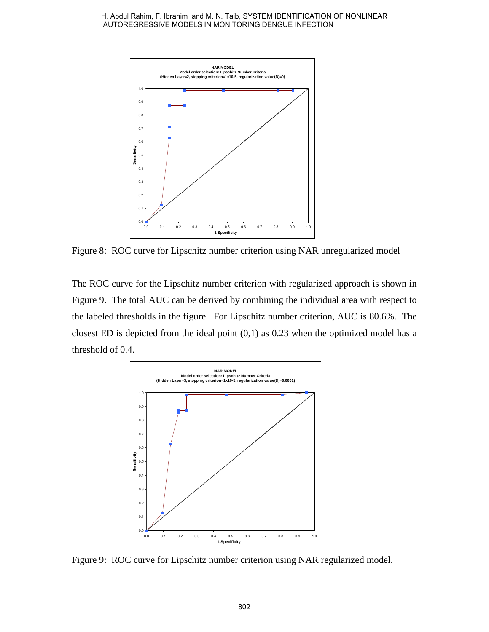

Figure 8: ROC curve for Lipschitz number criterion using NAR unregularized model

The ROC curve for the Lipschitz number criterion with regularized approach is shown in Figure 9. The total AUC can be derived by combining the individual area with respect to the labeled thresholds in the figure. For Lipschitz number criterion, AUC is 80.6%. The closest ED is depicted from the ideal point  $(0,1)$  as 0.23 when the optimized model has a threshold of 0.4.



Figure 9: ROC curve for Lipschitz number criterion using NAR regularized model.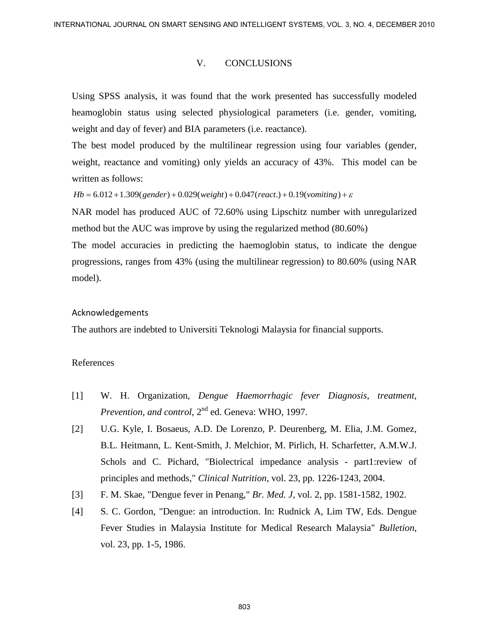#### V. CONCLUSIONS

Using SPSS analysis, it was found that the work presented has successfully modeled heamoglobin status using selected physiological parameters (i.e. gender, vomiting, weight and day of fever) and BIA parameters (i.e. reactance).

The best model produced by the multilinear regression using four variables (gender, weight, reactance and vomiting) only yields an accuracy of 43%. This model can be written as follows:

 $Hb = 6.012 + 1.309(gender) + 0.029(weight) + 0.047(react.) + 0.19(vomiting) + \varepsilon$ 

NAR model has produced AUC of 72.60% using Lipschitz number with unregularized method but the AUC was improve by using the regularized method (80.60%)

The model accuracies in predicting the haemoglobin status, to indicate the dengue progressions, ranges from 43% (using the multilinear regression) to 80.60% (using NAR model).

#### Acknowledgements

The authors are indebted to Universiti Teknologi Malaysia for financial supports.

#### References

- [1] W. H. Organization, *Dengue Haemorrhagic fever Diagnosis, treatment, Prevention, and control*, 2nd ed. Geneva: WHO, 1997.
- [2] U.G. Kyle, I. Bosaeus, A.D. De Lorenzo, P. Deurenberg, M. Elia, J.M. Gomez, B.L. Heitmann, L. Kent-Smith, J. Melchior, M. Pirlich, H. Scharfetter, A.M.W.J. Schols and C. Pichard, "Biolectrical impedance analysis - part1:review of principles and methods," *Clinical Nutrition*, vol. 23, pp. 1226-1243, 2004. REFRANTONIC JOLENNI, and SMART SENSING AND RELEASER SYSTEMS, SCC. 3, NO 4, DECEMBER 2010<br>
V. CONCLUSIONS<br>
Using SPSS analysis, it was found that the work presented has successfully modeled<br>
thermoelobin states using selec
	- [3] F. M. Skae, "Dengue fever in Penang," *Br. Med. J*, vol. 2, pp. 1581-1582, 1902.
	- [4] S. C. Gordon, "Dengue: an introduction. In: Rudnick A, Lim TW, Eds. Dengue Fever Studies in Malaysia Institute for Medical Research Malaysia" *Bulletion*, vol. 23, pp. 1-5, 1986.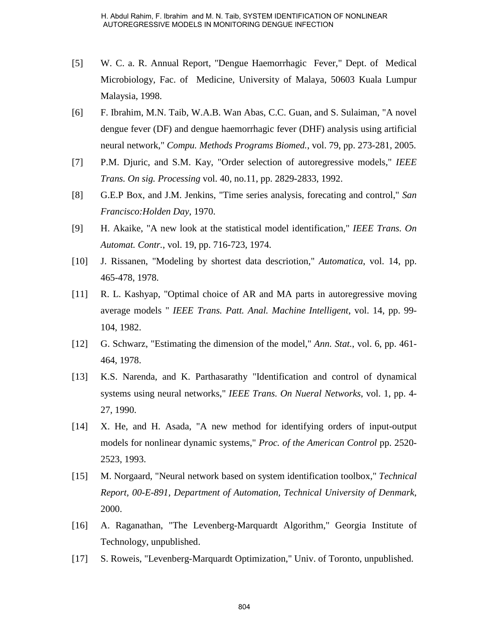- [5] W. C. a. R. Annual Report, "Dengue Haemorrhagic Fever," Dept. of Medical Microbiology, Fac. of Medicine, University of Malaya, 50603 Kuala Lumpur Malaysia, 1998.
- [6] F. Ibrahim, M.N. Taib, W.A.B. Wan Abas, C.C. Guan, and S. Sulaiman, "A novel dengue fever (DF) and dengue haemorrhagic fever (DHF) analysis using artificial neural network," *Compu. Methods Programs Biomed.*, vol. 79, pp. 273-281, 2005. H. Abdul Rahim, F. Ibrahim and M. N. Taib, SYSTEM IDENTIFICATION OF NORUMEAR<br>AUTOREGISESIVE MORE IN MONITORING DENSILE IPSECT DON CONCIDENT ON WATCHEN WITHOUT THE CONDUCT THE CONDUCT THE CONDUCT THE CONDUCT THE UNIT MAININ
- [7] P.M. Djuric, and S.M. Kay, "Order selection of autoregressive models," *IEEE Trans. On sig. Processing* vol. 40, no.11, pp. 2829-2833, 1992.
- [8] G.E.P Box, and J.M. Jenkins, "Time series analysis, forecating and control," *San Francisco:Holden Day*, 1970.
- [9] H. Akaike, "A new look at the statistical model identification," *IEEE Trans. On Automat. Contr.*, vol. 19, pp. 716-723, 1974.
- [10] J. Rissanen, "Modeling by shortest data descriotion," *Automatica*, vol. 14, pp. 465-478, 1978.
- [11] R. L. Kashyap, "Optimal choice of AR and MA parts in autoregressive moving average models " *IEEE Trans. Patt. Anal. Machine Intelligent*, vol. 14, pp. 99- 104, 1982.
- [12] G. Schwarz, "Estimating the dimension of the model," *Ann. Stat.*, vol. 6, pp. 461- 464, 1978.
- [13] K.S. Narenda, and K. Parthasarathy "Identification and control of dynamical systems using neural networks," *IEEE Trans. On Nueral Networks*, vol. 1, pp. 4- 27, 1990.
- [14] X. He, and H. Asada, "A new method for identifying orders of input-output models for nonlinear dynamic systems," *Proc. of the American Control* pp. 2520- 2523, 1993.
- [15] M. Norgaard, "Neural network based on system identification toolbox," *Technical Report, 00-E-891, Department of Automation, Technical University of Denmark*, 2000.
- [16] A. Raganathan, "The Levenberg-Marquardt Algorithm," Georgia Institute of Technology, unpublished.
- [17] S. Roweis, "Levenberg-Marquardt Optimization," Univ. of Toronto, unpublished.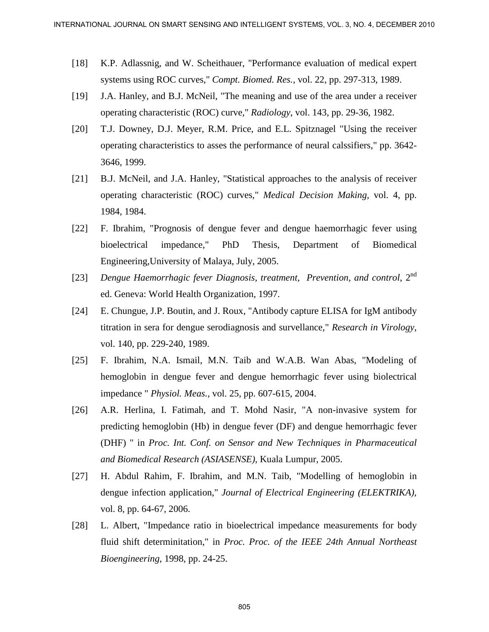- [18] K.P. Adlassnig, and W. Scheithauer, "Performance evaluation of medical expert systems using ROC curves," *Compt. Biomed. Res.*, vol. 22, pp. 297-313, 1989.
- [19] J.A. Hanley, and B.J. McNeil, "The meaning and use of the area under a receiver operating characteristic (ROC) curve," *Radiology*, vol. 143, pp. 29-36, 1982.
- [20] T.J. Downey, D.J. Meyer, R.M. Price, and E.L. Spitznagel "Using the receiver operating characteristics to asses the performance of neural calssifiers," pp. 3642- 3646, 1999.
- [21] B.J. McNeil, and J.A. Hanley, "Statistical approaches to the analysis of receiver operating characteristic (ROC) curves," *Medical Decision Making*, vol. 4, pp. 1984, 1984.
- [22] F. Ibrahim, "Prognosis of dengue fever and dengue haemorrhagic fever using bioelectrical impedance," PhD Thesis, Department of Biomedical Engineering,University of Malaya, July, 2005.
- [23] *Dengue Haemorrhagic fever Diagnosis, treatment, Prevention, and control*, 2nd ed. Geneva: World Health Organization, 1997.
- [24] E. Chungue, J.P. Boutin, and J. Roux, "Antibody capture ELISA for IgM antibody titration in sera for dengue serodiagnosis and survellance," *Research in Virology*, vol. 140, pp. 229-240, 1989.
- [25] F. Ibrahim, N.A. Ismail, M.N. Taib and W.A.B. Wan Abas, "Modeling of hemoglobin in dengue fever and dengue hemorrhagic fever using biolectrical impedance " *Physiol. Meas.*, vol. 25, pp. 607-615, 2004.
- [26] A.R. Herlina, I. Fatimah, and T. Mohd Nasir, "A non-invasive system for predicting hemoglobin (Hb) in dengue fever (DF) and dengue hemorrhagic fever (DHF) " in *Proc. Int. Conf. on Sensor and New Techniques in Pharmaceutical and Biomedical Research (ASIASENSE)*, Kuala Lumpur, 2005. RYIERA-ITONAL JOURNAL TON SMART SENSING, AND NEW YORNEWS SYSTEMS, VOL. 3, NO 4, DECEMBER 2010<br>
[18] K.P. Adlancesig, and W. Scheibhnart, "Performance evaluation of medical expert<br>
system using ROC curves," Compt. Biomed.
	- [27] H. Abdul Rahim, F. Ibrahim, and M.N. Taib, "Modelling of hemoglobin in dengue infection application," *Journal of Electrical Engineering (ELEKTRIKA)*, vol. 8, pp. 64-67, 2006.
	- [28] L. Albert, "Impedance ratio in bioelectrical impedance measurements for body fluid shift determinitation," in *Proc. Proc. of the IEEE 24th Annual Northeast Bioengineering*, 1998, pp. 24-25.